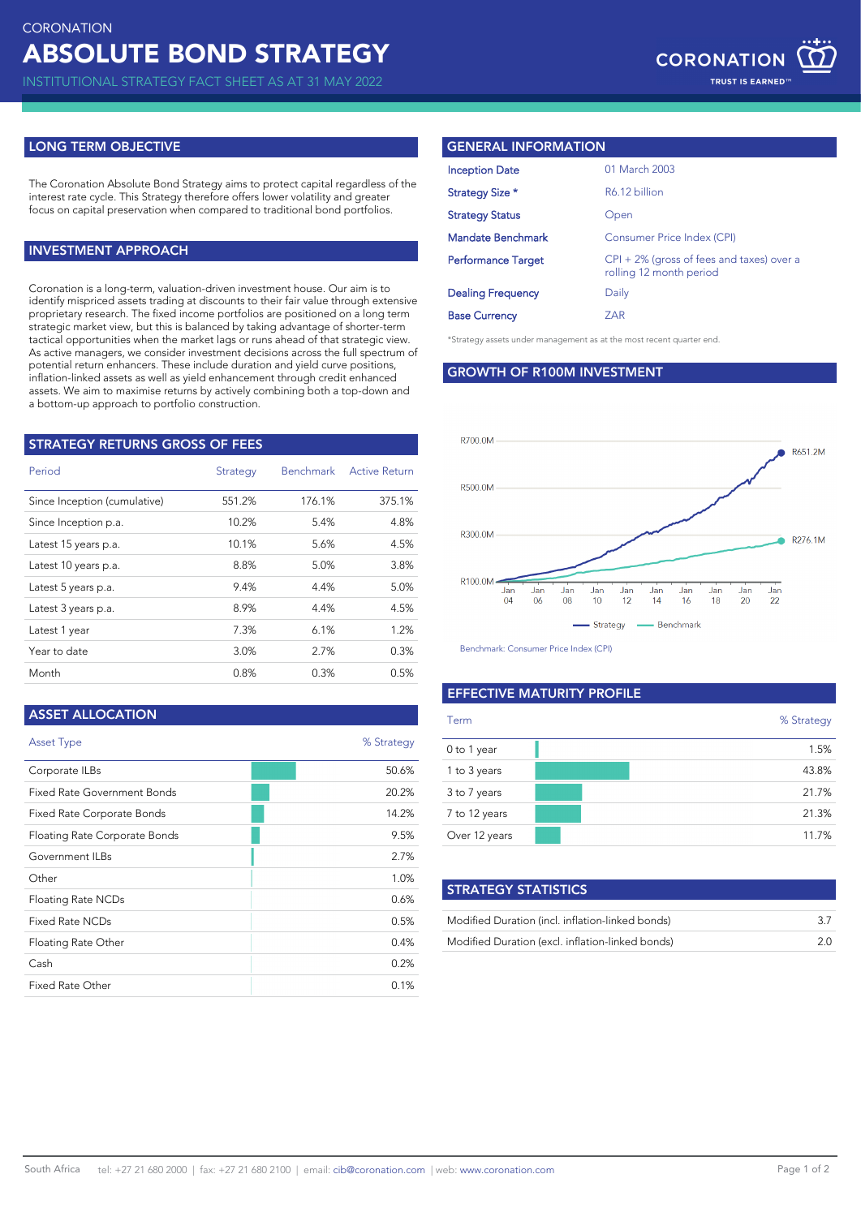INSTITUTIONAL STRATEGY FACT SHEET AS AT 31 MAY 2022

# **LONG TERM OBJECTIVE**

The Coronation Absolute Bond Strategy aims to protect capital regardless of the interest rate cycle. This Strategy therefore offers lower volatility and greater focus on capital preservation when compared to traditional bond portfolios.

# **INVESTMENT APPROACH**

Coronation is a long-term, valuation-driven investment house. Our aim is to identify mispriced assets trading at discounts to their fair value through extensive proprietary research. The fixed income portfolios are positioned on a long term strategic market view, but this is balanced by taking advantage of shorter-term tactical opportunities when the market lags or runs ahead of that strategic view. As active managers, we consider investment decisions across the full spectrum of potential return enhancers. These include duration and yield curve positions, inflation-linked assets as well as yield enhancement through credit enhanced assets. We aim to maximise returns by actively combining both a top-down and a bottom-up approach to portfolio construction.

| STRATEGY RETURNS GROSS OF FEES |          |                  |                      |  |
|--------------------------------|----------|------------------|----------------------|--|
| Period                         | Strategy | <b>Benchmark</b> | <b>Active Return</b> |  |
| Since Inception (cumulative)   | 551.2%   | 176.1%           | 375.1%               |  |
| Since Inception p.a.           | 10.2%    | 5.4%             | 4.8%                 |  |
| Latest 15 years p.a.           | 10.1%    | 5.6%             | 4.5%                 |  |
| Latest 10 years p.a.           | 8.8%     | 5.0%             | 3.8%                 |  |
| Latest 5 years p.a.            | 9.4%     | 4.4%             | 5.0%                 |  |
| Latest 3 years p.a.            | 8.9%     | 4.4%             | 4.5%                 |  |
| Latest 1 year                  | 7.3%     | 6.1%             | 1.2%                 |  |
| Year to date                   | 3.0%     | 2.7%             | 0.3%                 |  |
| Month                          | 0.8%     | 0.3%             | 0.5%                 |  |

## **ASSET ALLOCATION**

| <b>Asset Type</b>             | % Strategy |
|-------------------------------|------------|
| Corporate ILBs                | 50.6%      |
| Fixed Rate Government Bonds   | 20.2%      |
| Fixed Rate Corporate Bonds    | 14.2%      |
| Floating Rate Corporate Bonds | 9.5%       |
| Government ILBs               | 2.7%       |
| Other                         | 1.0%       |
| Floating Rate NCDs            | 0.6%       |
| Fixed Rate NCDs               | 0.5%       |
| Floating Rate Other           | 0.4%       |
| Cash                          | 0.2%       |
| Fixed Rate Other              | 0.1%       |

# **GENERAL INFORMATION**

|                           | 01 March 2003                                                           |
|---------------------------|-------------------------------------------------------------------------|
| <b>Inception Date</b>     |                                                                         |
| Strategy Size *           | R6.12 billion                                                           |
| <b>Strategy Status</b>    | Open                                                                    |
| <b>Mandate Benchmark</b>  | Consumer Price Index (CPI)                                              |
| <b>Performance Target</b> | $CPI + 2\%$ (gross of fees and taxes) over a<br>rolling 12 month period |
| <b>Dealing Frequency</b>  | Daily                                                                   |
| <b>Base Currency</b>      | ZAR                                                                     |

\*Strategy assets under management as at the most recent quarter end.

**GROWTH OF R100M INVESTMENT**



Benchmark: Consumer Price Index (CPI)

## **EFFECTIVE MATURITY PROFILE**

| Term          | % Strategy |
|---------------|------------|
| 0 to 1 year   | 1.5%       |
| 1 to 3 years  | 43.8%      |
| 3 to 7 years  | 21.7%      |
| 7 to 12 years | 21.3%      |
| Over 12 years | 11.7%      |

| <b>STRATEGY STATISTICS</b>                       |     |
|--------------------------------------------------|-----|
| Modified Duration (incl. inflation-linked bonds) | -37 |
| Modified Duration (excl. inflation-linked bonds) | 2 O |